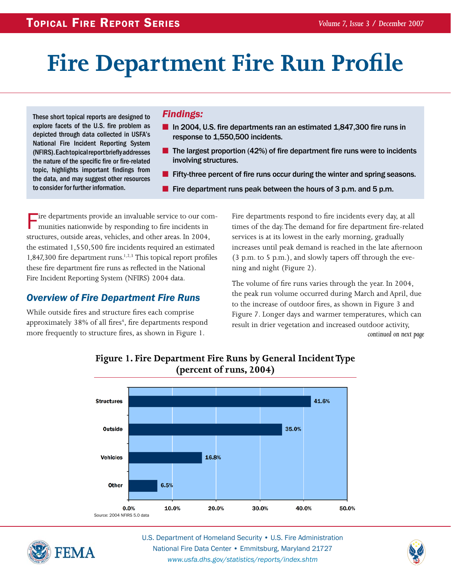# **Fire Department Fire Run Profile**

These short topical reports are designed to explore facets of the U.S. fire problem as depicted through data collected in USFA's National Fire Incident Reporting System (NFIRS). Each topical report briefly addresses the nature of the specific fire or fire-related topic, highlights important findings from the data, and may suggest other resources to consider for further information.

## *Findings:*

- In 2004, U.S. fire departments ran an estimated 1,847,300 fire runs in response to 1,550,500 incidents.
- $\blacksquare$  The largest proportion (42%) of fire department fire runs were to incidents involving structures.
- Fifty-three percent of fire runs occur during the winter and spring seasons.
- Fire department runs peak between the hours of 3 p.m. and 5 p.m.

Fire departments provide an invaluable service to our communities nationwide by responding to fire incidents in structures, outside areas, vehicles, and other areas. In 2004, the estimated 1,550,500 fire incidents required an estimated 1,847,300 fire department runs.<sup>1,2,3</sup> This topical report profiles these fire department fire runs as reflected in the National Fire Incident Reporting System (NFIRS) 2004 data.

# *Overview of Fire Department Fire Runs*

While outside fires and structure fires each comprise approximately 38% of all fires<sup>4</sup>, fire departments respond more frequently to structure fires, as shown in Figure 1.

Fire departments respond to fire incidents every day, at all times of the day. The demand for fire department fire-related services is at its lowest in the early morning, gradually increases until peak demand is reached in the late afternoon (3 p.m. to 5 p.m.), and slowly tapers off through the evening and night (Figure 2).

The volume of fire runs varies through the year. In 2004, the peak run volume occurred during March and April, due to the increase of outdoor fires, as shown in Figure 3 and Figure 7. Longer days and warmer temperatures, which can result in drier vegetation and increased outdoor activity, *continued on next page*



# **Figure 1. Fire Department Fire Runs by General Incident Type (percent of runs, 2004)**



U.S. Department of Homeland Security • U.S. Fire Administration National Fire Data Center • Emmitsburg, Maryland 21727 *www.usfa.dhs.gov/statistics/reports/index.shtm*

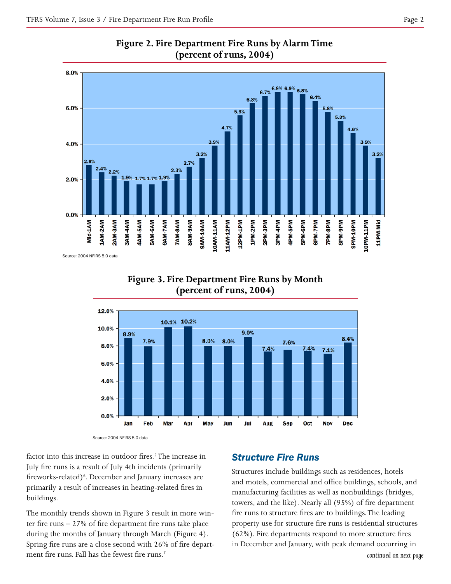

**Figure 2. Fire Department Fire Runs by Alarm Time**



# **Figure 3. Fire Department Fire Runs by Month (percent of runs, 2004)**

Source: 2004 NFIRS 5.0 data

factor into this increase in outdoor fires.<sup>5</sup> The increase in July fire runs is a result of July 4th incidents (primarily fireworks-related)<sup>6</sup>. December and January increases are primarily a result of increases in heating-related fires in buildings.

The monthly trends shown in Figure 3 result in more winter fire runs – 27% of fire department fire runs take place during the months of January through March (Figure 4). Spring fire runs are a close second with 26% of fire department fire runs. Fall has the fewest fire runs.<sup>7</sup>

#### *Structure Fire Runs*

Structures include buildings such as residences, hotels and motels, commercial and office buildings, schools, and manufacturing facilities as well as nonbuildings (bridges, towers, and the like). Nearly all (95%) of fire department fire runs to structure fires are to buildings. The leading property use for structure fire runs is residential structures (62%). Fire departments respond to more structure fires in December and January, with peak demand occurring in *continued on next page*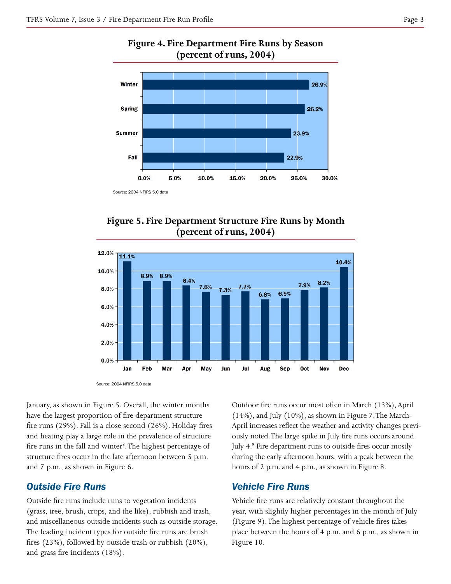

## **Figure 5. Fire Department Structure Fire Runs by Month (percent of runs, 2004)**



January, as shown in Figure 5. Overall, the winter months have the largest proportion of fire department structure fire runs (29%). Fall is a close second (26%). Holiday fires and heating play a large role in the prevalence of structure fire runs in the fall and winter<sup>8</sup>. The highest percentage of structure fires occur in the late afternoon between 5 p.m. and 7 p.m., as shown in Figure 6.

## *Outside Fire Runs*

Outside fire runs include runs to vegetation incidents (grass, tree, brush, crops, and the like), rubbish and trash, and miscellaneous outside incidents such as outside storage. The leading incident types for outside fire runs are brush fires (23%), followed by outside trash or rubbish (20%), and grass fire incidents (18%).

Outdoor fire runs occur most often in March (13%), April (14%), and July (10%), as shown in Figure 7. The March-April increases reflect the weather and activity changes previously noted. The large spike in July fire runs occurs around July 4.<sup>9</sup> Fire department runs to outside fires occur mostly during the early afternoon hours, with a peak between the hours of 2 p.m. and 4 p.m., as shown in Figure 8.

#### *Vehicle Fire Runs*

Vehicle fire runs are relatively constant throughout the year, with slightly higher percentages in the month of July (Figure 9). The highest percentage of vehicle fires takes place between the hours of 4 p.m. and 6 p.m., as shown in Figure 10.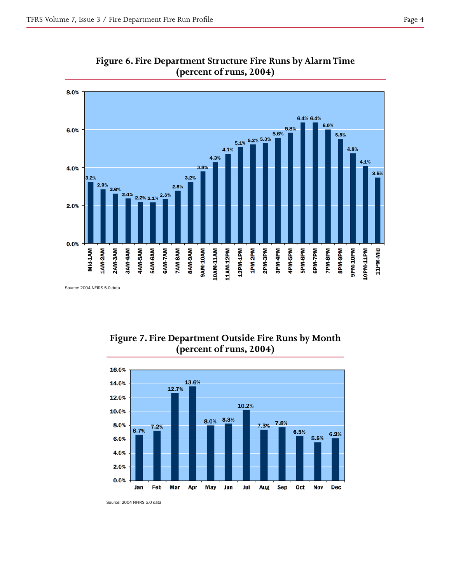

**Figure 6. Fire Department Structure Fire Runs by Alarm Time (percent of runs, 2004)**

**Figure 7. Fire Department Outside Fire Runs by Month (percent of runs, 2004)**



Source: 2004 NFIRS 5.0 data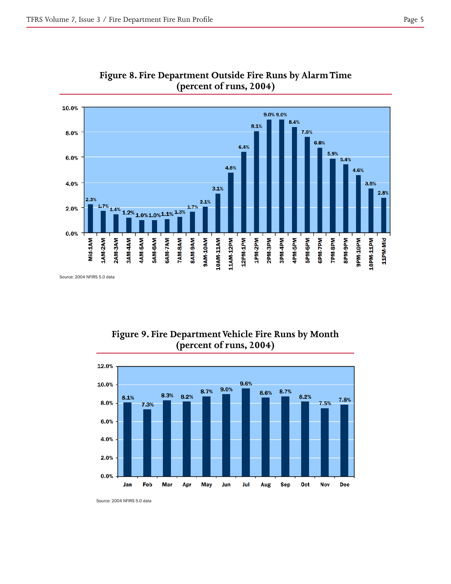



Source: 2004 NFIRS 5.0 data

# **Figure 9. Fire Department Vehicle Fire Runs by Month (percent of runs, 2004)**



Source: 2004 NFIRS 5.0 data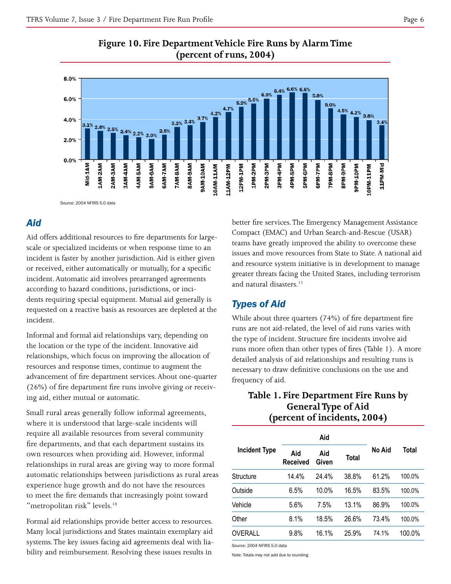

## **Figure 10. Fire Department Vehicle Fire Runs by Alarm Time (percent of runs, 2004)**

Source: 2004 NFIRS 5.0 data

## *Aid*

Aid offers additional resources to fire departments for largescale or specialized incidents or when response time to an incident is faster by another jurisdiction. Aid is either given or received, either automatically or mutually, for a specific incident. Automatic aid involves prearranged agreements according to hazard conditions, jurisdictions, or incidents requiring special equipment. Mutual aid generally is requested on a reactive basis as resources are depleted at the incident.

Informal and formal aid relationships vary, depending on the location or the type of the incident. Innovative aid relationships, which focus on improving the allocation of resources and response times, continue to augment the advancement of fire department services. About one-quarter (26%) of fire department fire runs involve giving or receiving aid, either mutual or automatic.

Small rural areas generally follow informal agreements, where it is understood that large-scale incidents will require all available resources from several community fire departments, and that each department sustains its own resources when providing aid. However, informal relationships in rural areas are giving way to more formal automatic relationships between jurisdictions as rural areas experience huge growth and do not have the resources to meet the fire demands that increasingly point toward "metropolitan risk" levels.<sup>10</sup>

Formal aid relationships provide better access to resources. Many local jurisdictions and States maintain exemplary aid systems. The key issues facing aid agreements deal with liability and reimbursement. Resolving these issues results in

better fire services. The Emergency Management Assistance Compact (EMAC) and Urban Search-and-Rescue (USAR) teams have greatly improved the ability to overcome these issues and move resources from State to State. A national aid and resource system initiative is in development to manage greater threats facing the United States, including terrorism and natural disasters.<sup>11</sup>

# *Types of Aid*

While about three quarters (74%) of fire department fire runs are not aid-related, the level of aid runs varies with the type of incident. Structure fire incidents involve aid runs more often than other types of fires (Table 1). A more detailed analysis of aid relationships and resulting runs is necessary to draw definitive conclusions on the use and frequency of aid.

# **Table 1. Fire Department Fire Runs by General Type of Aid (percent of incidents, 2004)**

| <b>Incident Type</b> | Aid                    |              |       |        |        |
|----------------------|------------------------|--------------|-------|--------|--------|
|                      | Aid<br><b>Received</b> | Aid<br>Given | Total | No Aid | Total  |
| Structure            | 14.4%                  | 24.4%        | 38.8% | 61.2%  | 100.0% |
| Outside              | 6.5%                   | 10.0%        | 16.5% | 83.5%  | 100.0% |
| Vehicle              | 5.6%                   | 7.5%         | 13.1% | 86.9%  | 100.0% |
| Other                | 8.1%                   | 18.5%        | 26.6% | 73.4%  | 100.0% |
| <b>OVERALL</b>       | 9.8%                   | 16.1%        | 25.9% | 74.1%  | 100.0% |

Source: 2004 NFIRS 5.0 data

Note: Totals may not add due to rounding